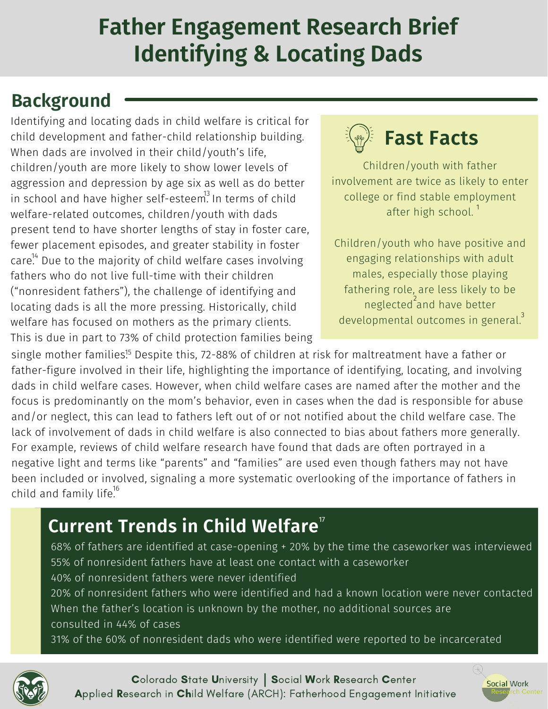### **Father Engagement Research Brief Identifying & Locating Dads**

### **Background**

Identifying and locating dads in child welfare is critical for child development and father-child relationship building. When dads are involved in their child/youth's life, children/youth are more likely to show lower levels of aggression and depression by age six as well as do better in school and have higher self-esteem $^3$  In terms of child welfare-related outcomes, children/youth with dads present tend to have shorter lengths of stay in foster care, fewer placement episodes, and greater stability in foster  $\text{care}^{14}$  Due to the majority of child welfare cases involving fathers who do not live full-time with their children ("nonresident fathers"), the challenge of identifying and locating dads is all the more pressing. Historically, child welfare has focused on mothers as the primary clients. This is due in part to 73% of child protection families being



Children/youth with father involvement are twice as likely to enter college or find stable employment after high school.<sup>1</sup>

Children/youth who have positive and engaging relationships with adult males, especially those playing fathering role, are less likely to be neglected<sup>2</sup>and have better developmental outcomes in general. $^3$ 

single mother families $^{!5}$  Despite this, 72-88% of children at risk for maltreatment have a father or father-figure involved in their life, highlighting the importance of identifying, locating, and involving dads in child welfare cases. However, when child welfare cases are named after the mother and the focus is predominantly on the mom's behavior, even in cases when the dad is responsible for abuse and/or neglect, this can lead to fathers left out of or not notified about the child welfare case. The lack of involvement of dads in child welfare is also connected to bias about fathers more generally. For example, reviews of child welfare research have found that dads are often portrayed in a negative light and terms like "parents" and "families" are used even though fathers may not have been included or involved, signaling a more systematic overlooking of the importance of fathers in child and family life.<sup>16</sup>

#### **Current Trends in Child Welfare** 17

68% of fathers are identified at case-opening + 20% by the time the caseworker was interviewed 55% of nonresident fathers have at least one contact with a caseworker 40% of nonresident fathers were never identified 20% of nonresident fathers who were identified and had a known location were never contacted

When the father's location is unknown by the mother, no additional sources are consulted in 44% of cases

31% of the 60% of nonresident dads who were identified were reported to be incarcerated



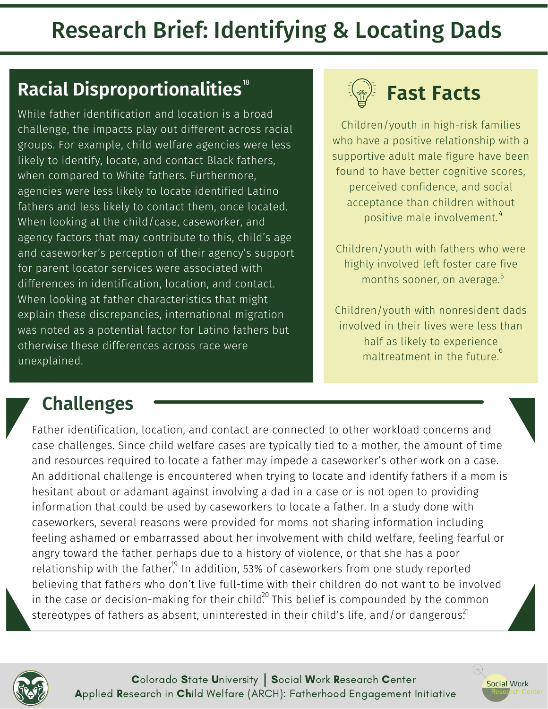### **Racial Disproportionalities** 18

While father identification and location is a broad challenge, the impacts play out different across racial groups. For example, child welfare agencies were less likely to identify, locate, and contact Black fathers, when compared to White fathers. Furthermore, agencies were less likely to locate identified Latino fathers and less likely to contact them, once located. When looking at the child/case, caseworker, and agency factors that may contribute to this, child's age and caseworker's perception of their agency's support for parent locator services were associated with differences in identification, location, and contact. When looking at father characteristics that might explain these discrepancies, international migration was noted as a potential factor for Latino fathers but otherwise these differences across race were unexplained.



Children/youth in high-risk families who have a positive relationship with a supportive adult male figure have been found to have better cognitive scores, perceived confidence, and social acceptance than children without positive male involvement. 4

Children/youth with fathers who were highly involved left foster care five months sooner, on average. 5

Children/youth with nonresident dads involved in their lives were less than half as likely to experience maltreatment in the future. 6

Social Work

#### **Challenges**

Father identification, location, and contact are connected to other workload concerns and case challenges. Since child welfare cases are typically tied to a mother, the amount of time and resources required to locate a father may impede a caseworker's other work on a case. An additional challenge is encountered when trying to locate and identify fathers if a mom is hesitant about or adamant against involving a dad in a case or is not open to providing information that could be used by caseworkers to locate a father. In a study done with caseworkers, several reasons were provided for moms not sharing information including feeling ashamed or embarrassed about her involvement with child welfare, feeling fearful or angry toward the father perhaps due to a history of violence, or that she has a poor relationship with the father. $^{19}$  In addition, 53% of caseworkers from one study reported believing that fathers who don't live full-time with their children do not want to be involved in the case or decision-making for their child $^{20}$  This belief is compounded by the common stereotypes of fathers as absent, uninterested in their child's life, and/or dangerous. $^{21}$ 

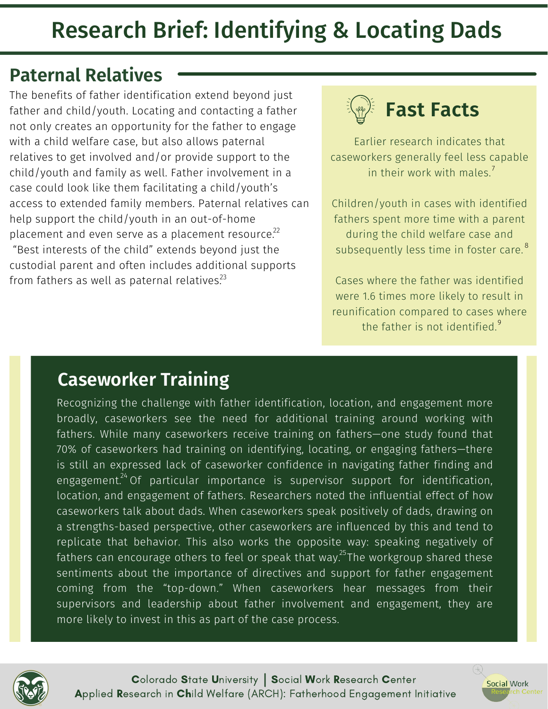#### **Paternal Relatives**

The benefits of father identification extend beyond just father and child/youth. Locating and contacting a father not only creates an opportunity for the father to engage with a child welfare case, but also allows paternal relatives to get involved and/or provide support to the child/youth and family as well. Father involvement in a case could look like them facilitating a child/youth's access to extended family members. Paternal relatives can help support the child/youth in an out-of-home placement and even serve as a placement resource. $^{22}$ "Best interests of the child" extends beyond just the custodial parent and often includes additional supports from fathers as well as paternal relatives. $^{23}$ 



Earlier research indicates that caseworkers generally feel less capable in their work with males.<sup>7</sup>

Children/youth in cases with identified fathers spent more time with a parent during the child welfare case and subsequently less time in foster care. 8

Cases where the father was identified were 1.6 times more likely to result in reunification compared to cases where the father is not identified.<sup>9</sup>

#### **Caseworker Training**

Recognizing the challenge with father identification, location, and engagement more broadly, caseworkers see the need for additional training around working with fathers. While many caseworkers receive training on fathers—one study found that 70% of caseworkers had training on identifying, locating, or engaging fathers—there is still an expressed lack of caseworker confidence in navigating father finding and engagement.<sup>24</sup> Of particular importance is supervisor support for identification, location, and engagement of fathers. Researchers noted the influential effect of how caseworkers talk about dads. When caseworkers speak positively of dads, drawing on a strengths-based perspective, other caseworkers are influenced by this and tend to replicate that behavior. This also works the opposite way: speaking negatively of fathers can encourage others to feel or speak that way. $^{25}$ The workgroup shared these sentiments about the importance of directives and support for father engagement coming from the "top-down." When caseworkers hear messages from their supervisors and leadership about father involvement and engagement, they are more likely to invest in this as part of the case process.



Applied Research in Child Welfare (ARCH): Fatherhood Engagement Initiative Colorado State University | Social Work Research Center

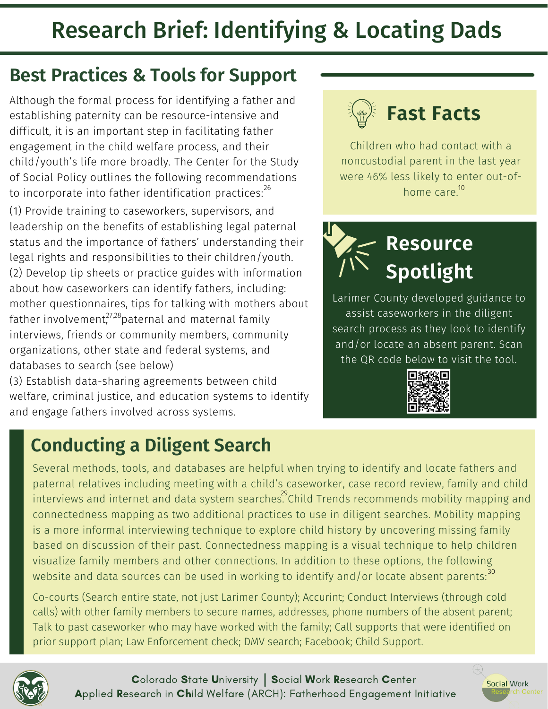#### **Best Practices & Tools for Support**

Although the formal process for identifying a father and establishing paternity can be resource-intensive and difficult, it is an important step in facilitating father engagement in the child welfare process, and their child/youth's life more broadly. The Center for the Study of Social Policy outlines the following recommendations to incorporate into father identification practices:<sup>26</sup>

(1) Provide training to caseworkers, supervisors, and leadership on the benefits of establishing legal paternal status and the importance of fathers' understanding their legal rights and responsibilities to their children/youth. (2) Develop tip sheets or practice guides with information about how caseworkers can identify fathers, including: mother questionnaires, tips for talking with mothers about father involvement, $^{27,28}$ paternal and maternal family interviews, friends or community members, community organizations, other state and federal systems, and databases to search (see below)

(3) Establish data-sharing agreements between child welfare, criminal justice, and education systems to identify and engage fathers involved across systems.

#### **Conducting a Diligent Search**

## **Fast Facts**

Children who had contact with a noncustodial parent in the last year were 46% less likely to enter out-of- $\sim$  26  $\,$  home care. $\rm ^{10}$ 



Larimer County developed guidance to assist caseworkers in the diligent search process as they look to identify and/or locate an absent parent. Scan the QR code below to visit the tool.



Social Work

Several methods, tools, and databases are helpful when trying to identify and locate fathers and paternal relatives including meeting with a child's caseworker, case record review, family and child interviews and internet and data system searches. Child Trends recommends mobility mapping and connectedness mapping as two additional practices to use in diligent searches. Mobility mapping is a more informal interviewing technique to explore child history by uncovering missing family based on discussion of their past. Connectedness mapping is a visual technique to help children visualize family members and other connections. In addition to these options, the following website and data sources can be used in working to identify and/or locate absent parents: $^{\rm 30}$ 

Co-courts (Search entire state, not just Larimer County); Accurint; Conduct Interviews (through cold calls) with other family members to secure names, addresses, phone numbers of the absent parent; Talk to past caseworker who may have worked with the family; Call supports that were identified on prior support plan; Law Enforcement check; DMV search; Facebook; Child Support.

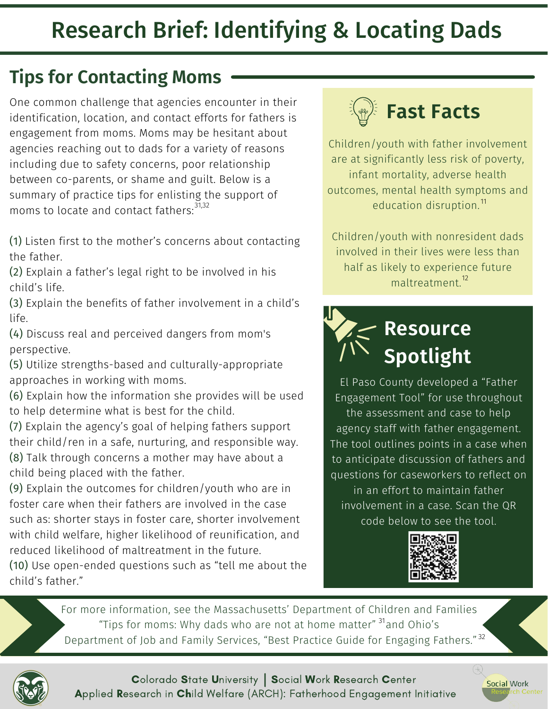### **Tips for Contacting Moms**

One common challenge that agencies encounter in their identification, location, and contact efforts for fathers is engagement from moms. Moms may be hesitant about agencies reaching out to dads for a variety of reasons including due to safety concerns, poor relationship between co-parents, or shame and guilt. Below is a summary of practice tips for enlisting the support of moms to locate and contact fathers: 31,32

(1) Listen first to the mother's concerns about contacting the father.

(2) Explain a father's legal right to be involved in his child's life.

(3) Explain the benefits of father involvement in a child's life.

(4) Discuss real and perceived dangers from mom's perspective.

(5) Utilize strengths-based and culturally-appropriate approaches in working with moms.

(6) Explain how the information she provides will be used to help determine what is best for the child.

(7) Explain the agency's goal of helping fathers support their child/ren in a safe, nurturing, and responsible way. (8) Talk through concerns a mother may have about a

child being placed with the father.

(9) Explain the outcomes for children/youth who are in foster care when their fathers are involved in the case such as: shorter stays in foster care, shorter involvement with child welfare, higher likelihood of reunification, and reduced likelihood of maltreatment in the future.

(10) Use open-ended questions such as "tell me about the child's father."



Children/youth with father involvement are at significantly less risk of poverty, infant mortality, adverse health outcomes, mental health symptoms and education disruption.<sup>11</sup>

Children/youth with nonresident dads involved in their lives were less than half as likely to experience future maltreatment. 12

## **Resource Spotlight**

El Paso County developed a "Father Engagement Tool" for use throughout the assessment and case to help agency staff with father engagement. The tool outlines points in a case when to anticipate discussion of fathers and questions for caseworkers to reflect on in an effort to maintain father involvement in a case. Scan the QR code below to see the tool.



Social Work

For more information, see the Massachusetts' Department of Children and Families "Tips for moms: Why dads who are not at home matter" <sup>31</sup>and Ohio's Department of Job and Family Services, "Best Practice Guide for Engaging Fathers."<sup>32</sup>